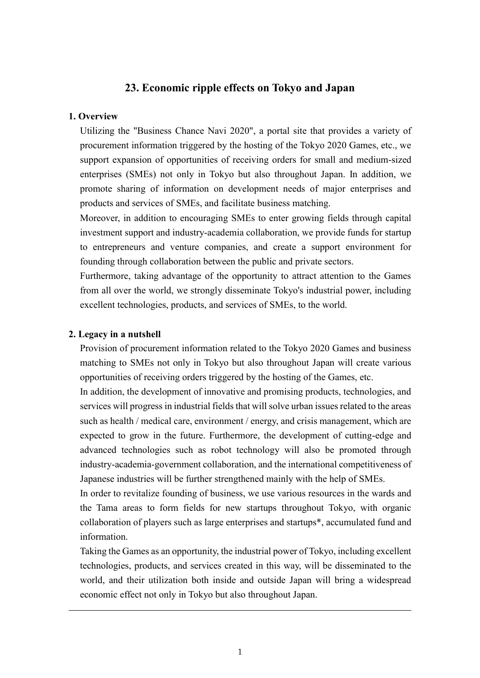# **23. Economic ripple effects on Tokyo and Japan**

#### **1. Overview**

Utilizing the "Business Chance Navi 2020", a portal site that provides a variety of procurement information triggered by the hosting of the Tokyo 2020 Games, etc., we support expansion of opportunities of receiving orders for small and medium-sized enterprises (SMEs) not only in Tokyo but also throughout Japan. In addition, we promote sharing of information on development needs of major enterprises and products and services of SMEs, and facilitate business matching.

Moreover, in addition to encouraging SMEs to enter growing fields through capital investment support and industry-academia collaboration, we provide funds for startup to entrepreneurs and venture companies, and create a support environment for founding through collaboration between the public and private sectors.

Furthermore, taking advantage of the opportunity to attract attention to the Games from all over the world, we strongly disseminate Tokyo's industrial power, including excellent technologies, products, and services of SMEs, to the world.

#### **2. Legacy in a nutshell**

Provision of procurement information related to the Tokyo 2020 Games and business matching to SMEs not only in Tokyo but also throughout Japan will create various opportunities of receiving orders triggered by the hosting of the Games, etc.

In addition, the development of innovative and promising products, technologies, and services will progress in industrial fields that will solve urban issues related to the areas such as health / medical care, environment / energy, and crisis management, which are expected to grow in the future. Furthermore, the development of cutting-edge and advanced technologies such as robot technology will also be promoted through industry-academia-government collaboration, and the international competitiveness of Japanese industries will be further strengthened mainly with the help of SMEs.

In order to revitalize founding of business, we use various resources in the wards and the Tama areas to form fields for new startups throughout Tokyo, with organic collaboration of players such as large enterprises and startups\*, accumulated fund and information.

Taking the Games as an opportunity, the industrial power of Tokyo, including excellent technologies, products, and services created in this way, will be disseminated to the world, and their utilization both inside and outside Japan will bring a widespread economic effect not only in Tokyo but also throughout Japan.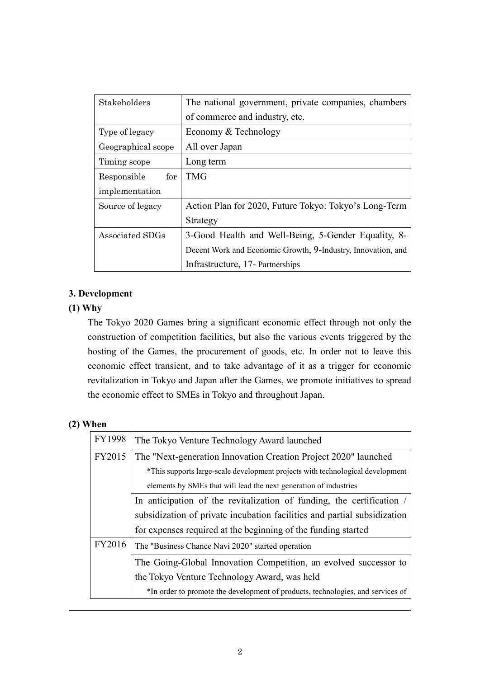| Stakeholders       | The national government, private companies, chambers         |
|--------------------|--------------------------------------------------------------|
|                    | of commerce and industry, etc.                               |
| Type of legacy     | Economy & Technology                                         |
| Geographical scope | All over Japan                                               |
| Timing scope       | Long term                                                    |
| for<br>Responsible | <b>TMG</b>                                                   |
| implementation     |                                                              |
| Source of legacy   | Action Plan for 2020, Future Tokyo: Tokyo's Long-Term        |
|                    | Strategy                                                     |
| Associated SDGs    | 3-Good Health and Well-Being, 5-Gender Equality, 8-          |
|                    | Decent Work and Economic Growth, 9-Industry, Innovation, and |
|                    | Infrastructure, 17- Partnerships                             |

## **3. Development**

## **(1) Why**

The Tokyo 2020 Games bring a significant economic effect through not only the construction of competition facilities, but also the various events triggered by the hosting of the Games, the procurement of goods, etc. In order not to leave this economic effect transient, and to take advantage of it as a trigger for economic revitalization in Tokyo and Japan after the Games, we promote initiatives to spread the economic effect to SMEs in Tokyo and throughout Japan.

### **(2) When**

| FY1998 | The Tokyo Venture Technology Award launched                                     |  |
|--------|---------------------------------------------------------------------------------|--|
| FY2015 | The "Next-generation Innovation Creation Project 2020" launched                 |  |
|        | *This supports large-scale development projects with technological development  |  |
|        | elements by SMEs that will lead the next generation of industries               |  |
|        | In anticipation of the revitalization of funding, the certification /           |  |
|        | subsidization of private incubation facilities and partial subsidization        |  |
|        | for expenses required at the beginning of the funding started                   |  |
| FY2016 | The "Business Chance Navi 2020" started operation                               |  |
|        | The Going-Global Innovation Competition, an evolved successor to                |  |
|        | the Tokyo Venture Technology Award, was held                                    |  |
|        | *In order to promote the development of products, technologies, and services of |  |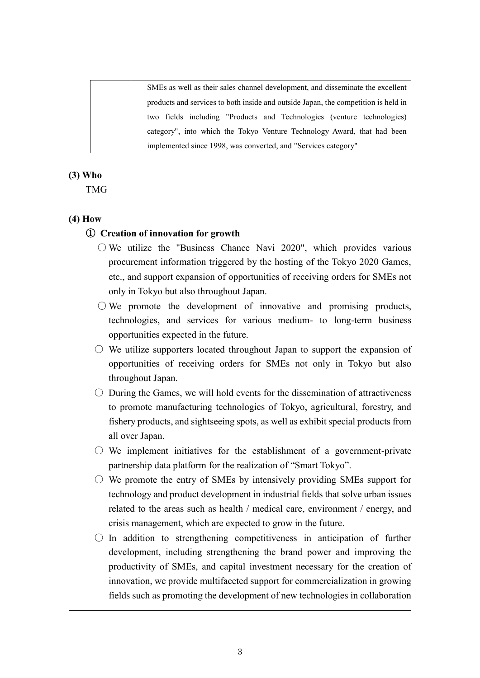SMEs as well as their sales channel development, and disseminate the excellent products and services to both inside and outside Japan, the competition is held in two fields including "Products and Technologies (venture technologies) category", into which the Tokyo Venture Technology Award, that had been implemented since 1998, was converted, and "Services category"

### **(3) Who**

TMG

#### **(4) How**

### ① **Creation of innovation for growth**

- $\circ$  We utilize the "Business Chance Navi 2020", which provides various procurement information triggered by the hosting of the Tokyo 2020 Games, etc., and support expansion of opportunities of receiving orders for SMEs not only in Tokyo but also throughout Japan.
- $\bigcirc$  We promote the development of innovative and promising products, technologies, and services for various medium- to long-term business opportunities expected in the future.
- $\circlearrowright$  We utilize supporters located throughout Japan to support the expansion of opportunities of receiving orders for SMEs not only in Tokyo but also throughout Japan.
- $\circlearrowright$  During the Games, we will hold events for the dissemination of attractiveness to promote manufacturing technologies of Tokyo, agricultural, forestry, and fishery products, and sightseeing spots, as well as exhibit special products from all over Japan.
- $\circ$  We implement initiatives for the establishment of a government-private partnership data platform for the realization of "Smart Tokyo".
- $\circ$  We promote the entry of SMEs by intensively providing SMEs support for technology and product development in industrial fields that solve urban issues related to the areas such as health / medical care, environment / energy, and crisis management, which are expected to grow in the future.
- $\bigcirc$  In addition to strengthening competitiveness in anticipation of further development, including strengthening the brand power and improving the productivity of SMEs, and capital investment necessary for the creation of innovation, we provide multifaceted support for commercialization in growing fields such as promoting the development of new technologies in collaboration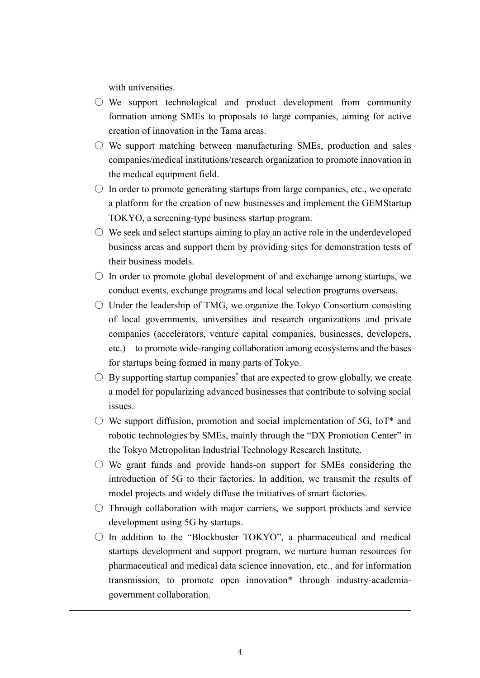with universities.

- $\bigcirc$  We support technological and product development from community formation among SMEs to proposals to large companies, aiming for active creation of innovation in the Tama areas.
- $\circ$  We support matching between manufacturing SMEs, production and sales companies/medical institutions/research organization to promote innovation in the medical equipment field.
- $\circlearrowright$  In order to promote generating startups from large companies, etc., we operate a platform for the creation of new businesses and implement the GEMStartup TOKYO, a screening-type business startup program.
- $\circlearrowright$  We seek and select startups aiming to play an active role in the underdeveloped business areas and support them by providing sites for demonstration tests of their business models.
- $\circ$  In order to promote global development of and exchange among startups, we conduct events, exchange programs and local selection programs overseas.
- $\circlearrowright$  Under the leadership of TMG, we organize the Tokyo Consortium consisting of local governments, universities and research organizations and private companies (accelerators, venture capital companies, businesses, developers, etc.) to promote wide-ranging collaboration among ecosystems and the bases for startups being formed in many parts of Tokyo.
- $\bigcirc$  By supporting startup companies<sup>\*</sup> that are expected to grow globally, we create a model for popularizing advanced businesses that contribute to solving social issues.
- $\circ$  We support diffusion, promotion and social implementation of 5G, IoT\* and robotic technologies by SMEs, mainly through the "DX Promotion Center" in the Tokyo Metropolitan Industrial Technology Research Institute.
- $\circ$  We grant funds and provide hands-on support for SMEs considering the introduction of 5G to their factories. In addition, we transmit the results of model projects and widely diffuse the initiatives of smart factories.
- $\circ$  Through collaboration with major carriers, we support products and service development using 5G by startups.
- $\bigcirc$  In addition to the "Blockbuster TOKYO", a pharmaceutical and medical startups development and support program, we nurture human resources for pharmaceutical and medical data science innovation, etc., and for information transmission, to promote open innovation\* through industry-academiagovernment collaboration.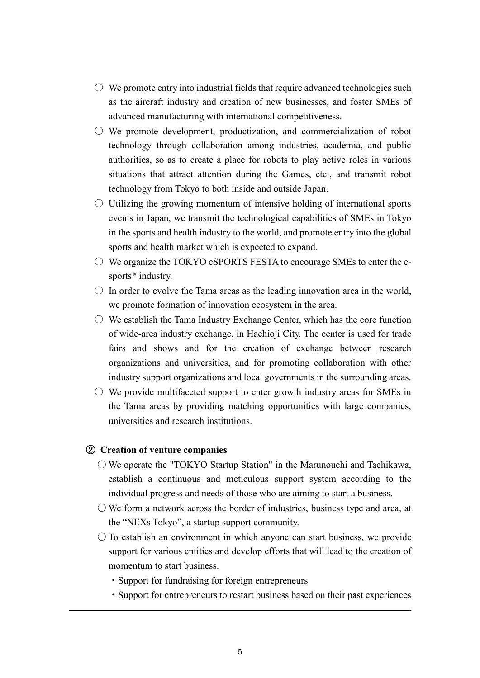- $\circlearrowright$  We promote entry into industrial fields that require advanced technologies such as the aircraft industry and creation of new businesses, and foster SMEs of advanced manufacturing with international competitiveness.
- $\circlearrowright$  We promote development, productization, and commercialization of robot technology through collaboration among industries, academia, and public authorities, so as to create a place for robots to play active roles in various situations that attract attention during the Games, etc., and transmit robot technology from Tokyo to both inside and outside Japan.
- $\circ$  Utilizing the growing momentum of intensive holding of international sports events in Japan, we transmit the technological capabilities of SMEs in Tokyo in the sports and health industry to the world, and promote entry into the global sports and health market which is expected to expand.
- $\circ$  We organize the TOKYO eSPORTS FESTA to encourage SMEs to enter the esports\* industry.
- $\circ$  In order to evolve the Tama areas as the leading innovation area in the world, we promote formation of innovation ecosystem in the area.
- $\circ$  We establish the Tama Industry Exchange Center, which has the core function of wide-area industry exchange, in Hachioji City. The center is used for trade fairs and shows and for the creation of exchange between research organizations and universities, and for promoting collaboration with other industry support organizations and local governments in the surrounding areas.
- $\circ$  We provide multifaceted support to enter growth industry areas for SMEs in the Tama areas by providing matching opportunities with large companies, universities and research institutions.

#### ② **Creation of venture companies**

- $\bigcirc$  We operate the "TOKYO Startup Station" in the Marunouchi and Tachikawa, establish a continuous and meticulous support system according to the individual progress and needs of those who are aiming to start a business.
- $\circlearrowright$  We form a network across the border of industries, business type and area, at the "NEXs Tokyo", a startup support community.
- $\bigcirc$  To establish an environment in which anyone can start business, we provide support for various entities and develop efforts that will lead to the creation of momentum to start business.
	- ・Support for fundraising for foreign entrepreneurs
	- ・Support for entrepreneurs to restart business based on their past experiences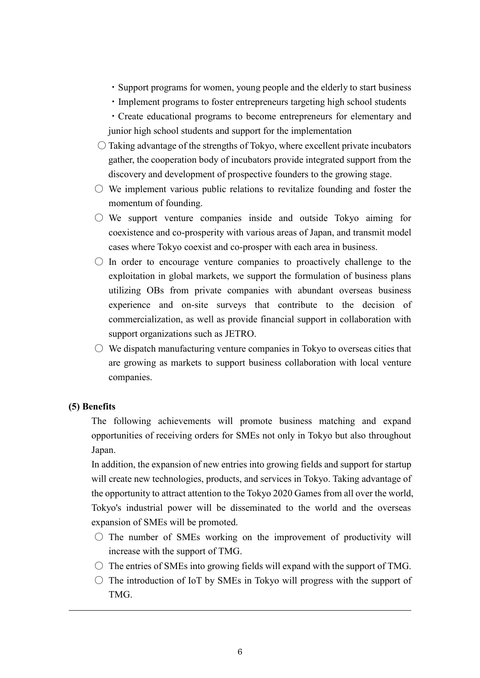- ・Support programs for women, young people and the elderly to start business
- ・Implement programs to foster entrepreneurs targeting high school students
- ・Create educational programs to become entrepreneurs for elementary and junior high school students and support for the implementation
- $\bigcirc$  Taking advantage of the strengths of Tokyo, where excellent private incubators gather, the cooperation body of incubators provide integrated support from the discovery and development of prospective founders to the growing stage.
- $\circ$  We implement various public relations to revitalize founding and foster the momentum of founding.
- $\circ$  We support venture companies inside and outside Tokyo aiming for coexistence and co-prosperity with various areas of Japan, and transmit model cases where Tokyo coexist and co-prosper with each area in business.
- $\circ$  In order to encourage venture companies to proactively challenge to the exploitation in global markets, we support the formulation of business plans utilizing OBs from private companies with abundant overseas business experience and on-site surveys that contribute to the decision of commercialization, as well as provide financial support in collaboration with support organizations such as JETRO.
- $\circ$  We dispatch manufacturing venture companies in Tokyo to overseas cities that are growing as markets to support business collaboration with local venture companies.

### **(5) Benefits**

The following achievements will promote business matching and expand opportunities of receiving orders for SMEs not only in Tokyo but also throughout Japan.

In addition, the expansion of new entries into growing fields and support for startup will create new technologies, products, and services in Tokyo. Taking advantage of the opportunity to attract attention to the Tokyo 2020 Games from all over the world, Tokyo's industrial power will be disseminated to the world and the overseas expansion of SMEs will be promoted.

- $\circ$  The number of SMEs working on the improvement of productivity will increase with the support of TMG.
- $\circ$  The entries of SMEs into growing fields will expand with the support of TMG.
- $\circ$  The introduction of IoT by SMEs in Tokyo will progress with the support of TMG.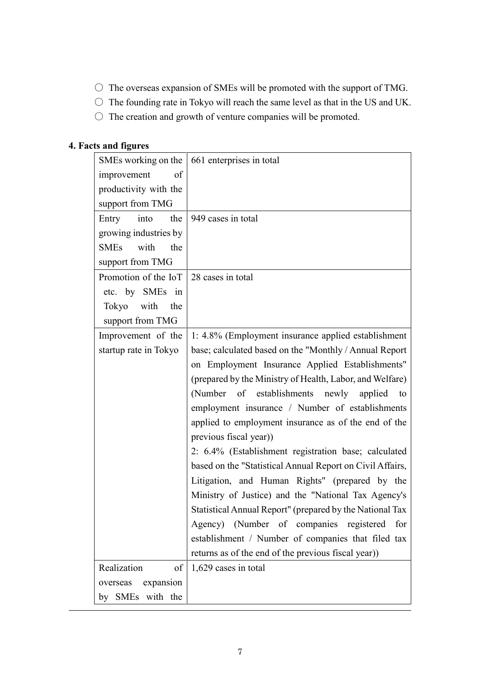- $\bigcirc$  The overseas expansion of SMEs will be promoted with the support of TMG.
- The founding rate in Tokyo will reach the same level as that in the US and UK.
- $\bigcirc$  The creation and growth of venture companies will be promoted.

# **4. Facts and figures**

| SMEs working on the        | 661 enterprises in total                                  |
|----------------------------|-----------------------------------------------------------|
| of<br>improvement          |                                                           |
| productivity with the      |                                                           |
| support from TMG           |                                                           |
| the<br>into<br>Entry       | 949 cases in total                                        |
| growing industries by      |                                                           |
| with<br><b>SMEs</b><br>the |                                                           |
| support from TMG           |                                                           |
| Promotion of the IoT       | 28 cases in total                                         |
| etc. by SMEs in            |                                                           |
| Tokyo<br>with<br>the       |                                                           |
| support from TMG           |                                                           |
| Improvement of the         | 1: 4.8% (Employment insurance applied establishment       |
| startup rate in Tokyo      | base; calculated based on the "Monthly / Annual Report    |
|                            | on Employment Insurance Applied Establishments"           |
|                            | (prepared by the Ministry of Health, Labor, and Welfare)  |
|                            | (Number of establishments newly<br>applied<br>to          |
|                            | employment insurance / Number of establishments           |
|                            | applied to employment insurance as of the end of the      |
|                            | previous fiscal year))                                    |
|                            | 2: 6.4% (Establishment registration base; calculated      |
|                            | based on the "Statistical Annual Report on Civil Affairs, |
|                            | Litigation, and Human Rights" (prepared by the            |
|                            | Ministry of Justice) and the "National Tax Agency's       |
|                            | Statistical Annual Report" (prepared by the National Tax  |
|                            | (Number of companies registered<br>Agency)<br>for         |
|                            | establishment / Number of companies that filed tax        |
|                            | returns as of the end of the previous fiscal year))       |
| Realization<br>of          | 1,629 cases in total                                      |
| expansion<br>overseas      |                                                           |
| by SMEs with the           |                                                           |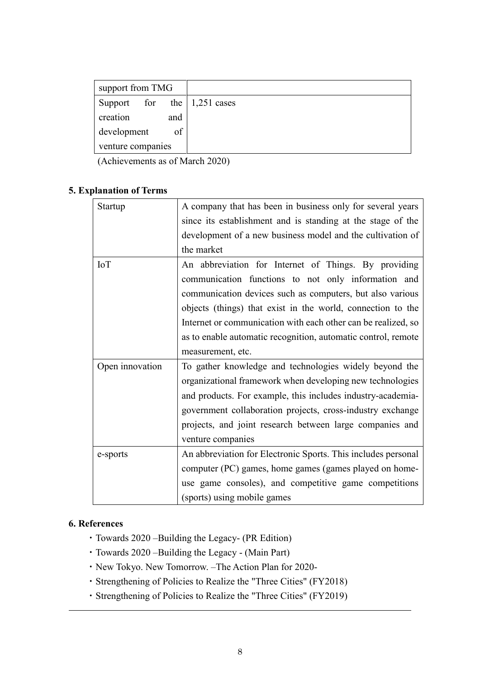| support from TMG                                  |  |
|---------------------------------------------------|--|
| Support for the $\vert 1,251 \text{ cases} \vert$ |  |
| creation<br>and                                   |  |
| of<br>development                                 |  |
| venture companies                                 |  |

(Achievements as of March 2020)

## **5. Explanation of Terms**

| Startup         | A company that has been in business only for several years    |
|-----------------|---------------------------------------------------------------|
|                 | since its establishment and is standing at the stage of the   |
|                 | development of a new business model and the cultivation of    |
|                 | the market                                                    |
| <b>IoT</b>      | An abbreviation for Internet of Things. By providing          |
|                 | communication functions to not only information and           |
|                 | communication devices such as computers, but also various     |
|                 | objects (things) that exist in the world, connection to the   |
|                 | Internet or communication with each other can be realized, so |
|                 | as to enable automatic recognition, automatic control, remote |
|                 | measurement, etc.                                             |
| Open innovation | To gather knowledge and technologies widely beyond the        |
|                 | organizational framework when developing new technologies     |
|                 | and products. For example, this includes industry-academia-   |
|                 | government collaboration projects, cross-industry exchange    |
|                 | projects, and joint research between large companies and      |
|                 | venture companies                                             |
| e-sports        | An abbreviation for Electronic Sports. This includes personal |
|                 | computer (PC) games, home games (games played on home-        |
|                 | use game consoles), and competitive game competitions         |
|                 | (sports) using mobile games                                   |

## **6. References**

- ・Towards 2020 –Building the Legacy- (PR Edition)
- ・Towards 2020 –Building the Legacy (Main Part)
- ・New Tokyo. New Tomorrow. –The Action Plan for 2020-
- ・Strengthening of Policies to Realize the "Three Cities" (FY2018)
- ・Strengthening of Policies to Realize the "Three Cities" (FY2019)